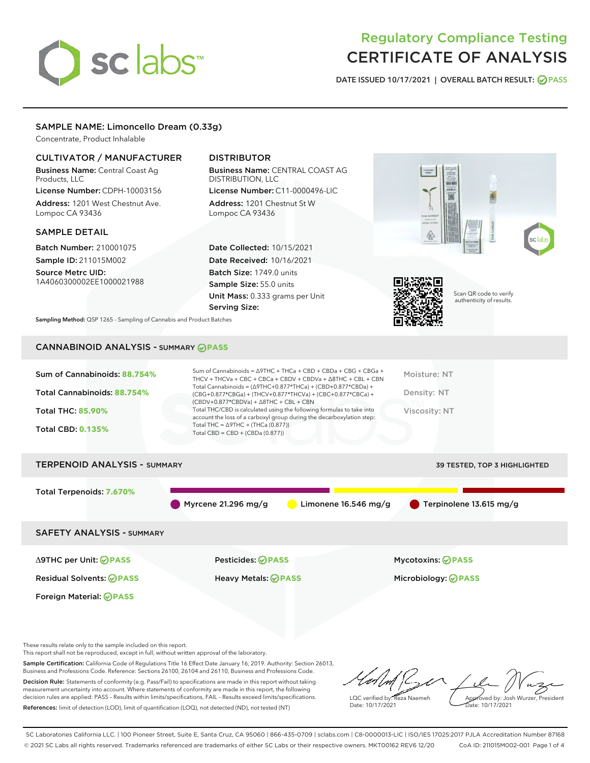# sclabs<sup>\*</sup>

# Regulatory Compliance Testing CERTIFICATE OF ANALYSIS

DATE ISSUED 10/17/2021 | OVERALL BATCH RESULT: @ PASS

# SAMPLE NAME: Limoncello Dream (0.33g)

Concentrate, Product Inhalable

# CULTIVATOR / MANUFACTURER

Business Name: Central Coast Ag Products, LLC License Number: CDPH-10003156

Address: 1201 West Chestnut Ave. Lompoc CA 93436

#### SAMPLE DETAIL

Batch Number: 210001075 Sample ID: 211015M002

Source Metrc UID: 1A4060300002EE1000021988

# DISTRIBUTOR

Business Name: CENTRAL COAST AG DISTRIBUTION, LLC License Number: C11-0000496-LIC

Address: 1201 Chestnut St W Lompoc CA 93436

Date Collected: 10/15/2021 Date Received: 10/16/2021 Batch Size: 1749.0 units Sample Size: 55.0 units Unit Mass: 0.333 grams per Unit Serving Size:





Scan QR code to verify authenticity of results.

Sampling Method: QSP 1265 - Sampling of Cannabis and Product Batches

# CANNABINOID ANALYSIS - SUMMARY **PASS**

| Sum of Cannabinoids: 88.754%<br>Total Cannabinoids: 88.754%<br><b>Total THC: 85.90%</b><br><b>Total CBD: 0.135%</b> | Sum of Cannabinoids = $\triangle$ 9THC + THCa + CBD + CBDa + CBG + CBGa +<br>THCV + THCVa + CBC + CBCa + CBDV + CBDVa + $\Delta$ 8THC + CBL + CBN<br>Total Cannabinoids = $(\Delta$ 9THC+0.877*THCa) + (CBD+0.877*CBDa) +<br>(CBG+0.877*CBGa) + (THCV+0.877*THCVa) + (CBC+0.877*CBCa) +<br>$(CBDV+0.877*CBDVa) + \Delta 8THC + CBL + CBN$<br>Total THC/CBD is calculated using the following formulas to take into<br>account the loss of a carboxyl group during the decarboxylation step:<br>Total THC = $\triangle$ 9THC + (THCa (0.877))<br>Total CBD = $CBD + (CBDa (0.877))$ | Moisture: NT<br>Density: NT<br>Viscosity: NT |
|---------------------------------------------------------------------------------------------------------------------|------------------------------------------------------------------------------------------------------------------------------------------------------------------------------------------------------------------------------------------------------------------------------------------------------------------------------------------------------------------------------------------------------------------------------------------------------------------------------------------------------------------------------------------------------------------------------------|----------------------------------------------|
| <b>TERPENOID ANALYSIS - SUMMARY</b>                                                                                 |                                                                                                                                                                                                                                                                                                                                                                                                                                                                                                                                                                                    | <b>39 TESTED, TOP 3 HIGHLIGHTED</b>          |
| Total Terpenoids: 7.670%                                                                                            |                                                                                                                                                                                                                                                                                                                                                                                                                                                                                                                                                                                    |                                              |

Myrcene 21.296 mg/g  $\bigcirc$  Limonene 16.546 mg/g  $\bigcirc$  Terpinolene 13.615 mg/g

SAFETY ANALYSIS - SUMMARY

Δ9THC per Unit: **PASS** Pesticides: **PASS** Mycotoxins: **PASS**

Foreign Material: **PASS**

Residual Solvents: **PASS** Heavy Metals: **PASS** Microbiology: **PASS**

These results relate only to the sample included on this report.

This report shall not be reproduced, except in full, without written approval of the laboratory.

Sample Certification: California Code of Regulations Title 16 Effect Date January 16, 2019. Authority: Section 26013, Business and Professions Code. Reference: Sections 26100, 26104 and 26110, Business and Professions Code. Decision Rule: Statements of conformity (e.g. Pass/Fail) to specifications are made in this report without taking

measurement uncertainty into account. Where statements of conformity are made in this report, the following decision rules are applied: PASS – Results within limits/specifications, FAIL – Results exceed limits/specifications. References: limit of detection (LOD), limit of quantification (LOQ), not detected (ND), not tested (NT)

LQC verified by: Reza Naemeh Date: 10/17/2021 Approved by: Josh Wurzer, President Date: 10/17/2021

SC Laboratories California LLC. | 100 Pioneer Street, Suite E, Santa Cruz, CA 95060 | 866-435-0709 | sclabs.com | C8-0000013-LIC | ISO/IES 17025:2017 PJLA Accreditation Number 87168 © 2021 SC Labs all rights reserved. Trademarks referenced are trademarks of either SC Labs or their respective owners. MKT00162 REV6 12/20 CoA ID: 211015M002-001 Page 1 of 4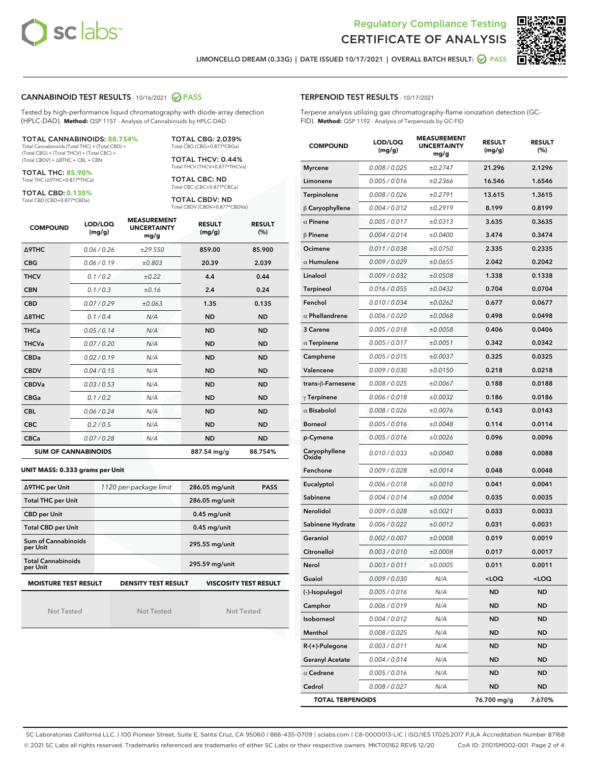



LIMONCELLO DREAM (0.33G) | DATE ISSUED 10/17/2021 | OVERALL BATCH RESULT: ● PASS

#### CANNABINOID TEST RESULTS - 10/16/2021 2 PASS

Tested by high-performance liquid chromatography with diode-array detection (HPLC-DAD). **Method:** QSP 1157 - Analysis of Cannabinoids by HPLC-DAD

#### TOTAL CANNABINOIDS: **88.754%**

Total Cannabinoids (Total THC) + (Total CBD) + (Total CBG) + (Total THCV) + (Total CBC) + (Total CBDV) + ∆8THC + CBL + CBN

TOTAL THC: **85.90%** Total THC (∆9THC+0.877\*THCa)

TOTAL CBD: **0.135%**

Total CBD (CBD+0.877\*CBDa)

TOTAL CBG: 2.039% Total CBG (CBG+0.877\*CBGa)

TOTAL THCV: 0.44% Total THCV (THCV+0.877\*THCVa)

TOTAL CBC: ND Total CBC (CBC+0.877\*CBCa)

TOTAL CBDV: ND Total CBDV (CBDV+0.877\*CBDVa)

| <b>COMPOUND</b>  | LOD/LOQ<br>(mg/g)          | <b>MEASUREMENT</b><br><b>UNCERTAINTY</b><br>mg/g | <b>RESULT</b><br>(mg/g) | <b>RESULT</b><br>(%) |
|------------------|----------------------------|--------------------------------------------------|-------------------------|----------------------|
| <b>A9THC</b>     | 0.06 / 0.26                | ±29.550                                          | 859.00                  | 85.900               |
| <b>CBG</b>       | 0.06 / 0.19                | ±0.803                                           | 20.39                   | 2.039                |
| <b>THCV</b>      | 0.1/0.2                    | ±0.22                                            | 4.4                     | 0.44                 |
| <b>CBN</b>       | 0.1/0.3                    | ±0.16                                            | 2.4                     | 0.24                 |
| <b>CBD</b>       | 0.07 / 0.29                | ±0.063                                           | 1.35                    | 0.135                |
| $\triangle$ 8THC | 0.1/0.4                    | N/A                                              | <b>ND</b>               | <b>ND</b>            |
| THCa             | 0.05/0.14                  | N/A                                              | <b>ND</b>               | <b>ND</b>            |
| <b>THCVa</b>     | 0.07/0.20                  | N/A                                              | <b>ND</b>               | <b>ND</b>            |
| <b>CBDa</b>      | 0.02/0.19                  | N/A                                              | <b>ND</b>               | <b>ND</b>            |
| <b>CBDV</b>      | 0.04 / 0.15                | N/A                                              | <b>ND</b>               | <b>ND</b>            |
| <b>CBDVa</b>     | 0.03/0.53                  | N/A                                              | <b>ND</b>               | <b>ND</b>            |
| <b>CBGa</b>      | 0.1 / 0.2                  | N/A                                              | <b>ND</b>               | <b>ND</b>            |
| <b>CBL</b>       | 0.06 / 0.24                | N/A                                              | <b>ND</b>               | <b>ND</b>            |
| <b>CBC</b>       | 0.2 / 0.5                  | N/A                                              | <b>ND</b>               | <b>ND</b>            |
| <b>CBCa</b>      | 0.07/0.28                  | N/A                                              | <b>ND</b>               | <b>ND</b>            |
|                  | <b>SUM OF CANNABINOIDS</b> |                                                  | 887.54 mg/g             | 88.754%              |

#### **UNIT MASS: 0.333 grams per Unit**

| ∆9THC per Unit                                                                            | 1120 per-package limit | 286.05 mg/unit<br><b>PASS</b> |  |  |
|-------------------------------------------------------------------------------------------|------------------------|-------------------------------|--|--|
| <b>Total THC per Unit</b>                                                                 |                        | 286.05 mg/unit                |  |  |
| <b>CBD per Unit</b>                                                                       |                        | $0.45$ mg/unit                |  |  |
| <b>Total CBD per Unit</b>                                                                 |                        | $0.45$ mg/unit                |  |  |
| Sum of Cannabinoids<br>per Unit                                                           |                        | 295.55 mg/unit                |  |  |
| <b>Total Cannabinoids</b><br>per Unit                                                     |                        | 295.59 mg/unit                |  |  |
| <b>MOISTURE TEST RESULT</b><br><b>DENSITY TEST RESULT</b><br><b>VISCOSITY TEST RESULT</b> |                        |                               |  |  |

Not Tested

Not Tested

Not Tested

#### TERPENOID TEST RESULTS - 10/17/2021

Terpene analysis utilizing gas chromatography-flame ionization detection (GC-FID). **Method:** QSP 1192 - Analysis of Terpenoids by GC-FID

| <b>COMPOUND</b>         | LOD/LOQ<br>(mg/g) | <b>MEASUREMENT</b><br><b>UNCERTAINTY</b><br>mg/g | <b>RESULT</b><br>(mg/g) | <b>RESULT</b><br>(%) |
|-------------------------|-------------------|--------------------------------------------------|-------------------------|----------------------|
| <b>Myrcene</b>          | 0.008 / 0.025     | ±0.2747                                          | 21.296                  | 2.1296               |
| Limonene                | 0.005 / 0.016     | ±0.2366                                          | 16.546                  | 1.6546               |
| Terpinolene             | 0.008 / 0.026     | ±0.2791                                          | 13.615                  | 1.3615               |
| $\beta$ Caryophyllene   | 0.004 / 0.012     | ±0.2919                                          | 8.199                   | 0.8199               |
| $\alpha$ Pinene         | 0.005 / 0.017     | ±0.0313                                          | 3.635                   | 0.3635               |
| $\beta$ Pinene          | 0.004 / 0.014     | ±0.0400                                          | 3.474                   | 0.3474               |
| Ocimene                 | 0.011 / 0.038     | ±0.0750                                          | 2.335                   | 0.2335               |
| $\alpha$ Humulene       | 0.009/0.029       | ±0.0655                                          | 2.042                   | 0.2042               |
| Linalool                | 0.009 / 0.032     | ±0.0508                                          | 1.338                   | 0.1338               |
| <b>Terpineol</b>        | 0.016 / 0.055     | ±0.0432                                          | 0.704                   | 0.0704               |
| Fenchol                 | 0.010 / 0.034     | ±0.0262                                          | 0.677                   | 0.0677               |
| $\alpha$ Phellandrene   | 0.006 / 0.020     | ±0.0068                                          | 0.498                   | 0.0498               |
| 3 Carene                | 0.005 / 0.018     | ±0.0058                                          | 0.406                   | 0.0406               |
| $\alpha$ Terpinene      | 0.005 / 0.017     | ±0.0051                                          | 0.342                   | 0.0342               |
| Camphene                | 0.005 / 0.015     | ±0.0037                                          | 0.325                   | 0.0325               |
| Valencene               | 0.009 / 0.030     | ±0.0150                                          | 0.218                   | 0.0218               |
| trans-ß-Farnesene       | 0.008 / 0.025     | ±0.0067                                          | 0.188                   | 0.0188               |
| $\gamma$ Terpinene      | 0.006 / 0.018     | ±0.0032                                          | 0.186                   | 0.0186               |
| $\alpha$ Bisabolol      | 0.008 / 0.026     | ±0.0076                                          | 0.143                   | 0.0143               |
| <b>Borneol</b>          | 0.005 / 0.016     | ±0.0048                                          | 0.114                   | 0.0114               |
| p-Cymene                | 0.005 / 0.016     | ±0.0026                                          | 0.096                   | 0.0096               |
| Caryophyllene<br>Oxide  | 0.010 / 0.033     | ±0.0040                                          | 0.088                   | 0.0088               |
| Fenchone                | 0.009 / 0.028     | ±0.0014                                          | 0.048                   | 0.0048               |
| Eucalyptol              | 0.006 / 0.018     | ±0.0010                                          | 0.041                   | 0.0041               |
| Sabinene                | 0.004 / 0.014     | ±0.0004                                          | 0.035                   | 0.0035               |
| Nerolidol               | 0.009 / 0.028     | ±0.0021                                          | 0.033                   | 0.0033               |
| Sabinene Hydrate        | 0.006 / 0.022     | ±0.0012                                          | 0.031                   | 0.0031               |
| Geraniol                | 0.002 / 0.007     | ±0.0008                                          | 0.019                   | 0.0019               |
| Citronellol             | 0.003 / 0.010     | ±0.0008                                          | 0.017                   | 0.0017               |
| Nerol                   | 0.003 / 0.011     | ±0.0005                                          | 0.011                   | 0.0011               |
| Guaiol                  | 0.009 / 0.030     | N/A                                              | $<$ LOQ                 | <loq< th=""></loq<>  |
| (-)-Isopulegol          | 0.005 / 0.016     | N/A                                              | ND                      | ND                   |
| Camphor                 | 0.006 / 0.019     | N/A                                              | <b>ND</b>               | <b>ND</b>            |
| Isoborneol              | 0.004 / 0.012     | N/A                                              | <b>ND</b>               | ND                   |
| Menthol                 | 0.008 / 0.025     | N/A                                              | <b>ND</b>               | ND                   |
| $R-(+)$ -Pulegone       | 0.003 / 0.011     | N/A                                              | ND                      | <b>ND</b>            |
| <b>Geranyl Acetate</b>  | 0.004 / 0.014     | N/A                                              | <b>ND</b>               | ND                   |
| $\alpha$ Cedrene        | 0.005 / 0.016     | N/A                                              | ND                      | ND                   |
| Cedrol                  | 0.008 / 0.027     | N/A                                              | <b>ND</b>               | ND                   |
| <b>TOTAL TERPENOIDS</b> |                   |                                                  | 76.700 mg/g             | 7.670%               |

SC Laboratories California LLC. | 100 Pioneer Street, Suite E, Santa Cruz, CA 95060 | 866-435-0709 | sclabs.com | C8-0000013-LIC | ISO/IES 17025:2017 PJLA Accreditation Number 87168 © 2021 SC Labs all rights reserved. Trademarks referenced are trademarks of either SC Labs or their respective owners. MKT00162 REV6 12/20 CoA ID: 211015M002-001 Page 2 of 4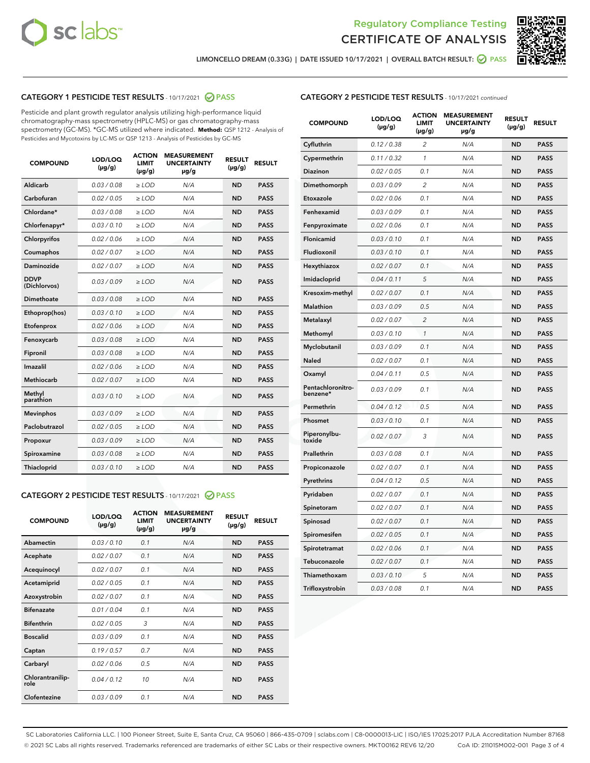



LIMONCELLO DREAM (0.33G) | DATE ISSUED 10/17/2021 | OVERALL BATCH RESULT: <mark>⊘</mark> PASS

# CATEGORY 1 PESTICIDE TEST RESULTS - 10/17/2021 2 PASS

Pesticide and plant growth regulator analysis utilizing high-performance liquid chromatography-mass spectrometry (HPLC-MS) or gas chromatography-mass spectrometry (GC-MS). \*GC-MS utilized where indicated. **Method:** QSP 1212 - Analysis of Pesticides and Mycotoxins by LC-MS or QSP 1213 - Analysis of Pesticides by GC-MS

| 0.03 / 0.08<br><b>ND</b><br><b>PASS</b><br>Aldicarb<br>$\ge$ LOD<br>N/A<br>Carbofuran<br>0.02 / 0.05<br>$\ge$ LOD<br>N/A<br><b>ND</b><br><b>PASS</b><br>Chlordane*<br>0.03 / 0.08<br>$\ge$ LOD<br>N/A<br><b>ND</b><br><b>PASS</b><br>Chlorfenapyr*<br>0.03/0.10<br>$\ge$ LOD<br>N/A<br><b>ND</b><br><b>PASS</b><br>Chlorpyrifos<br>0.02 / 0.06<br>N/A<br><b>ND</b><br><b>PASS</b><br>$\ge$ LOD<br>Coumaphos<br>0.02 / 0.07<br>N/A<br><b>ND</b><br><b>PASS</b><br>$\ge$ LOD<br>Daminozide<br>0.02 / 0.07<br>N/A<br><b>ND</b><br><b>PASS</b><br>$\ge$ LOD<br><b>DDVP</b><br>0.03/0.09<br>$>$ LOD<br>N/A<br><b>ND</b><br><b>PASS</b><br>(Dichlorvos)<br>Dimethoate<br>0.03 / 0.08<br>$\ge$ LOD<br><b>ND</b><br><b>PASS</b><br>N/A<br>0.03/0.10<br>N/A<br><b>ND</b><br><b>PASS</b><br>Ethoprop(hos)<br>$>$ LOD<br>N/A<br><b>ND</b><br><b>PASS</b><br>Etofenprox<br>0.02 / 0.06<br>$\ge$ LOD<br>Fenoxycarb<br>0.03 / 0.08<br>$\ge$ LOD<br>N/A<br><b>ND</b><br><b>PASS</b><br>0.03 / 0.08<br>$\ge$ LOD<br>N/A<br><b>ND</b><br><b>PASS</b><br>Fipronil<br>Imazalil<br>0.02 / 0.06<br>$\geq$ LOD<br>N/A<br><b>ND</b><br><b>PASS</b><br><b>Methiocarb</b><br>0.02 / 0.07<br>$\ge$ LOD<br>N/A<br><b>ND</b><br><b>PASS</b><br>Methyl<br>0.03/0.10<br>N/A<br><b>ND</b><br><b>PASS</b><br>$\ge$ LOD<br>parathion<br>0.03/0.09<br><b>Mevinphos</b><br>$\ge$ LOD<br>N/A<br><b>ND</b><br><b>PASS</b><br>Paclobutrazol<br>0.02 / 0.05<br>$>$ LOD<br>N/A<br><b>ND</b><br><b>PASS</b><br>0.03 / 0.09<br>N/A<br>$\ge$ LOD<br><b>ND</b><br><b>PASS</b><br>Propoxur<br>0.03 / 0.08<br><b>ND</b><br><b>PASS</b><br>Spiroxamine<br>$\ge$ LOD<br>N/A<br>Thiacloprid<br>0.03/0.10<br>$\ge$ LOD<br>N/A<br><b>ND</b><br><b>PASS</b> | <b>COMPOUND</b> | LOD/LOQ<br>$(\mu g/g)$ | <b>ACTION</b><br><b>LIMIT</b><br>$(\mu g/g)$ | <b>MEASUREMENT</b><br><b>UNCERTAINTY</b><br>$\mu$ g/g | <b>RESULT</b><br>$(\mu g/g)$ | <b>RESULT</b> |
|---------------------------------------------------------------------------------------------------------------------------------------------------------------------------------------------------------------------------------------------------------------------------------------------------------------------------------------------------------------------------------------------------------------------------------------------------------------------------------------------------------------------------------------------------------------------------------------------------------------------------------------------------------------------------------------------------------------------------------------------------------------------------------------------------------------------------------------------------------------------------------------------------------------------------------------------------------------------------------------------------------------------------------------------------------------------------------------------------------------------------------------------------------------------------------------------------------------------------------------------------------------------------------------------------------------------------------------------------------------------------------------------------------------------------------------------------------------------------------------------------------------------------------------------------------------------------------------------------------------------------------------------------------------------------------------------------------|-----------------|------------------------|----------------------------------------------|-------------------------------------------------------|------------------------------|---------------|
|                                                                                                                                                                                                                                                                                                                                                                                                                                                                                                                                                                                                                                                                                                                                                                                                                                                                                                                                                                                                                                                                                                                                                                                                                                                                                                                                                                                                                                                                                                                                                                                                                                                                                                         |                 |                        |                                              |                                                       |                              |               |
|                                                                                                                                                                                                                                                                                                                                                                                                                                                                                                                                                                                                                                                                                                                                                                                                                                                                                                                                                                                                                                                                                                                                                                                                                                                                                                                                                                                                                                                                                                                                                                                                                                                                                                         |                 |                        |                                              |                                                       |                              |               |
|                                                                                                                                                                                                                                                                                                                                                                                                                                                                                                                                                                                                                                                                                                                                                                                                                                                                                                                                                                                                                                                                                                                                                                                                                                                                                                                                                                                                                                                                                                                                                                                                                                                                                                         |                 |                        |                                              |                                                       |                              |               |
|                                                                                                                                                                                                                                                                                                                                                                                                                                                                                                                                                                                                                                                                                                                                                                                                                                                                                                                                                                                                                                                                                                                                                                                                                                                                                                                                                                                                                                                                                                                                                                                                                                                                                                         |                 |                        |                                              |                                                       |                              |               |
|                                                                                                                                                                                                                                                                                                                                                                                                                                                                                                                                                                                                                                                                                                                                                                                                                                                                                                                                                                                                                                                                                                                                                                                                                                                                                                                                                                                                                                                                                                                                                                                                                                                                                                         |                 |                        |                                              |                                                       |                              |               |
|                                                                                                                                                                                                                                                                                                                                                                                                                                                                                                                                                                                                                                                                                                                                                                                                                                                                                                                                                                                                                                                                                                                                                                                                                                                                                                                                                                                                                                                                                                                                                                                                                                                                                                         |                 |                        |                                              |                                                       |                              |               |
|                                                                                                                                                                                                                                                                                                                                                                                                                                                                                                                                                                                                                                                                                                                                                                                                                                                                                                                                                                                                                                                                                                                                                                                                                                                                                                                                                                                                                                                                                                                                                                                                                                                                                                         |                 |                        |                                              |                                                       |                              |               |
|                                                                                                                                                                                                                                                                                                                                                                                                                                                                                                                                                                                                                                                                                                                                                                                                                                                                                                                                                                                                                                                                                                                                                                                                                                                                                                                                                                                                                                                                                                                                                                                                                                                                                                         |                 |                        |                                              |                                                       |                              |               |
|                                                                                                                                                                                                                                                                                                                                                                                                                                                                                                                                                                                                                                                                                                                                                                                                                                                                                                                                                                                                                                                                                                                                                                                                                                                                                                                                                                                                                                                                                                                                                                                                                                                                                                         |                 |                        |                                              |                                                       |                              |               |
|                                                                                                                                                                                                                                                                                                                                                                                                                                                                                                                                                                                                                                                                                                                                                                                                                                                                                                                                                                                                                                                                                                                                                                                                                                                                                                                                                                                                                                                                                                                                                                                                                                                                                                         |                 |                        |                                              |                                                       |                              |               |
|                                                                                                                                                                                                                                                                                                                                                                                                                                                                                                                                                                                                                                                                                                                                                                                                                                                                                                                                                                                                                                                                                                                                                                                                                                                                                                                                                                                                                                                                                                                                                                                                                                                                                                         |                 |                        |                                              |                                                       |                              |               |
|                                                                                                                                                                                                                                                                                                                                                                                                                                                                                                                                                                                                                                                                                                                                                                                                                                                                                                                                                                                                                                                                                                                                                                                                                                                                                                                                                                                                                                                                                                                                                                                                                                                                                                         |                 |                        |                                              |                                                       |                              |               |
|                                                                                                                                                                                                                                                                                                                                                                                                                                                                                                                                                                                                                                                                                                                                                                                                                                                                                                                                                                                                                                                                                                                                                                                                                                                                                                                                                                                                                                                                                                                                                                                                                                                                                                         |                 |                        |                                              |                                                       |                              |               |
|                                                                                                                                                                                                                                                                                                                                                                                                                                                                                                                                                                                                                                                                                                                                                                                                                                                                                                                                                                                                                                                                                                                                                                                                                                                                                                                                                                                                                                                                                                                                                                                                                                                                                                         |                 |                        |                                              |                                                       |                              |               |
|                                                                                                                                                                                                                                                                                                                                                                                                                                                                                                                                                                                                                                                                                                                                                                                                                                                                                                                                                                                                                                                                                                                                                                                                                                                                                                                                                                                                                                                                                                                                                                                                                                                                                                         |                 |                        |                                              |                                                       |                              |               |
|                                                                                                                                                                                                                                                                                                                                                                                                                                                                                                                                                                                                                                                                                                                                                                                                                                                                                                                                                                                                                                                                                                                                                                                                                                                                                                                                                                                                                                                                                                                                                                                                                                                                                                         |                 |                        |                                              |                                                       |                              |               |
|                                                                                                                                                                                                                                                                                                                                                                                                                                                                                                                                                                                                                                                                                                                                                                                                                                                                                                                                                                                                                                                                                                                                                                                                                                                                                                                                                                                                                                                                                                                                                                                                                                                                                                         |                 |                        |                                              |                                                       |                              |               |
|                                                                                                                                                                                                                                                                                                                                                                                                                                                                                                                                                                                                                                                                                                                                                                                                                                                                                                                                                                                                                                                                                                                                                                                                                                                                                                                                                                                                                                                                                                                                                                                                                                                                                                         |                 |                        |                                              |                                                       |                              |               |
|                                                                                                                                                                                                                                                                                                                                                                                                                                                                                                                                                                                                                                                                                                                                                                                                                                                                                                                                                                                                                                                                                                                                                                                                                                                                                                                                                                                                                                                                                                                                                                                                                                                                                                         |                 |                        |                                              |                                                       |                              |               |
|                                                                                                                                                                                                                                                                                                                                                                                                                                                                                                                                                                                                                                                                                                                                                                                                                                                                                                                                                                                                                                                                                                                                                                                                                                                                                                                                                                                                                                                                                                                                                                                                                                                                                                         |                 |                        |                                              |                                                       |                              |               |
|                                                                                                                                                                                                                                                                                                                                                                                                                                                                                                                                                                                                                                                                                                                                                                                                                                                                                                                                                                                                                                                                                                                                                                                                                                                                                                                                                                                                                                                                                                                                                                                                                                                                                                         |                 |                        |                                              |                                                       |                              |               |

#### CATEGORY 2 PESTICIDE TEST RESULTS - 10/17/2021 @ PASS

| <b>COMPOUND</b>          | LOD/LOO<br>$(\mu g/g)$ | <b>ACTION</b><br>LIMIT<br>$(\mu g/g)$ | <b>MEASUREMENT</b><br><b>UNCERTAINTY</b><br>µg/g | <b>RESULT</b><br>$(\mu g/g)$ | <b>RESULT</b> |  |
|--------------------------|------------------------|---------------------------------------|--------------------------------------------------|------------------------------|---------------|--|
| Abamectin                | 0.03/0.10              | 0.1                                   | N/A                                              | <b>ND</b>                    | <b>PASS</b>   |  |
| Acephate                 | 0.02/0.07              | 0.1                                   | N/A                                              | <b>ND</b>                    | <b>PASS</b>   |  |
| Acequinocyl              | 0.02/0.07              | 0.1                                   | N/A                                              | <b>ND</b>                    | <b>PASS</b>   |  |
| Acetamiprid              | 0.02 / 0.05            | 0.1                                   | N/A                                              | <b>ND</b>                    | <b>PASS</b>   |  |
| Azoxystrobin             | 0.02/0.07              | 0.1                                   | N/A                                              | <b>ND</b>                    | <b>PASS</b>   |  |
| <b>Bifenazate</b>        | 0.01 / 0.04            | 0.1                                   | N/A                                              | <b>ND</b>                    | <b>PASS</b>   |  |
| <b>Bifenthrin</b>        | 0.02 / 0.05            | 3                                     | N/A                                              | <b>ND</b>                    | <b>PASS</b>   |  |
| <b>Boscalid</b>          | 0.03/0.09              | 0.1                                   | N/A                                              | <b>ND</b>                    | <b>PASS</b>   |  |
| Captan                   | 0.19/0.57              | 0.7                                   | N/A                                              | <b>ND</b>                    | <b>PASS</b>   |  |
| Carbaryl                 | 0.02/0.06              | 0.5                                   | N/A                                              | <b>ND</b>                    | <b>PASS</b>   |  |
| Chlorantranilip-<br>role | 0.04/0.12              | 10                                    | N/A                                              | <b>ND</b>                    | <b>PASS</b>   |  |
| Clofentezine             | 0.03/0.09              | 0.1                                   | N/A                                              | <b>ND</b>                    | <b>PASS</b>   |  |

# CATEGORY 2 PESTICIDE TEST RESULTS - 10/17/2021 continued

| <b>COMPOUND</b>               | LOD/LOQ<br>(µg/g) | <b>ACTION</b><br><b>LIMIT</b><br>$(\mu g/g)$ | <b>MEASUREMENT</b><br><b>UNCERTAINTY</b><br>µg/g | <b>RESULT</b><br>(µg/g) | <b>RESULT</b> |
|-------------------------------|-------------------|----------------------------------------------|--------------------------------------------------|-------------------------|---------------|
| Cyfluthrin                    | 0.12 / 0.38       | $\overline{c}$                               | N/A                                              | ND                      | <b>PASS</b>   |
| Cypermethrin                  | 0.11 / 0.32       | $\mathcal{I}$                                | N/A                                              | ND                      | <b>PASS</b>   |
| <b>Diazinon</b>               | 0.02 / 0.05       | 0.1                                          | N/A                                              | <b>ND</b>               | <b>PASS</b>   |
| Dimethomorph                  | 0.03 / 0.09       | 2                                            | N/A                                              | ND                      | <b>PASS</b>   |
| Etoxazole                     | 0.02 / 0.06       | 0.1                                          | N/A                                              | ND                      | <b>PASS</b>   |
| Fenhexamid                    | 0.03 / 0.09       | 0.1                                          | N/A                                              | ND                      | <b>PASS</b>   |
| Fenpyroximate                 | 0.02 / 0.06       | 0.1                                          | N/A                                              | <b>ND</b>               | <b>PASS</b>   |
| Flonicamid                    | 0.03 / 0.10       | 0.1                                          | N/A                                              | ND                      | <b>PASS</b>   |
| Fludioxonil                   | 0.03 / 0.10       | 0.1                                          | N/A                                              | ND                      | <b>PASS</b>   |
| Hexythiazox                   | 0.02 / 0.07       | 0.1                                          | N/A                                              | ND                      | <b>PASS</b>   |
| Imidacloprid                  | 0.04 / 0.11       | 5                                            | N/A                                              | ND                      | <b>PASS</b>   |
| Kresoxim-methyl               | 0.02 / 0.07       | 0.1                                          | N/A                                              | ND                      | <b>PASS</b>   |
| Malathion                     | 0.03 / 0.09       | 0.5                                          | N/A                                              | <b>ND</b>               | <b>PASS</b>   |
| Metalaxyl                     | 0.02 / 0.07       | $\overline{c}$                               | N/A                                              | ND                      | <b>PASS</b>   |
| Methomyl                      | 0.03 / 0.10       | 1                                            | N/A                                              | ND                      | <b>PASS</b>   |
| Myclobutanil                  | 0.03 / 0.09       | 0.1                                          | N/A                                              | <b>ND</b>               | <b>PASS</b>   |
| Naled                         | 0.02 / 0.07       | 0.1                                          | N/A                                              | ND                      | <b>PASS</b>   |
| Oxamyl                        | 0.04 / 0.11       | 0.5                                          | N/A                                              | ND                      | <b>PASS</b>   |
| Pentachloronitro-<br>benzene* | 0.03 / 0.09       | 0.1                                          | N/A                                              | ND                      | <b>PASS</b>   |
| Permethrin                    | 0.04 / 0.12       | 0.5                                          | N/A                                              | ND                      | <b>PASS</b>   |
| Phosmet                       | 0.03 / 0.10       | 0.1                                          | N/A                                              | ND                      | <b>PASS</b>   |
| Piperonylbu-<br>toxide        | 0.02 / 0.07       | 3                                            | N/A                                              | ND                      | <b>PASS</b>   |
| Prallethrin                   | 0.03 / 0.08       | 0.1                                          | N/A                                              | ND                      | <b>PASS</b>   |
| Propiconazole                 | 0.02 / 0.07       | 0.1                                          | N/A                                              | ND                      | <b>PASS</b>   |
| Pyrethrins                    | 0.04 / 0.12       | 0.5                                          | N/A                                              | ND                      | <b>PASS</b>   |
| Pyridaben                     | 0.02 / 0.07       | 0.1                                          | N/A                                              | <b>ND</b>               | <b>PASS</b>   |
| Spinetoram                    | 0.02 / 0.07       | 0.1                                          | N/A                                              | ND                      | <b>PASS</b>   |
| Spinosad                      | 0.02 / 0.07       | 0.1                                          | N/A                                              | ND                      | <b>PASS</b>   |
| Spiromesifen                  | 0.02 / 0.05       | 0.1                                          | N/A                                              | <b>ND</b>               | <b>PASS</b>   |
| Spirotetramat                 | 0.02 / 0.06       | 0.1                                          | N/A                                              | ND                      | <b>PASS</b>   |
| Tebuconazole                  | 0.02 / 0.07       | 0.1                                          | N/A                                              | ND                      | <b>PASS</b>   |
| Thiamethoxam                  | 0.03 / 0.10       | 5                                            | N/A                                              | <b>ND</b>               | <b>PASS</b>   |
| Trifloxystrobin               | 0.03 / 0.08       | 0.1                                          | N/A                                              | <b>ND</b>               | <b>PASS</b>   |

SC Laboratories California LLC. | 100 Pioneer Street, Suite E, Santa Cruz, CA 95060 | 866-435-0709 | sclabs.com | C8-0000013-LIC | ISO/IES 17025:2017 PJLA Accreditation Number 87168 © 2021 SC Labs all rights reserved. Trademarks referenced are trademarks of either SC Labs or their respective owners. MKT00162 REV6 12/20 CoA ID: 211015M002-001 Page 3 of 4